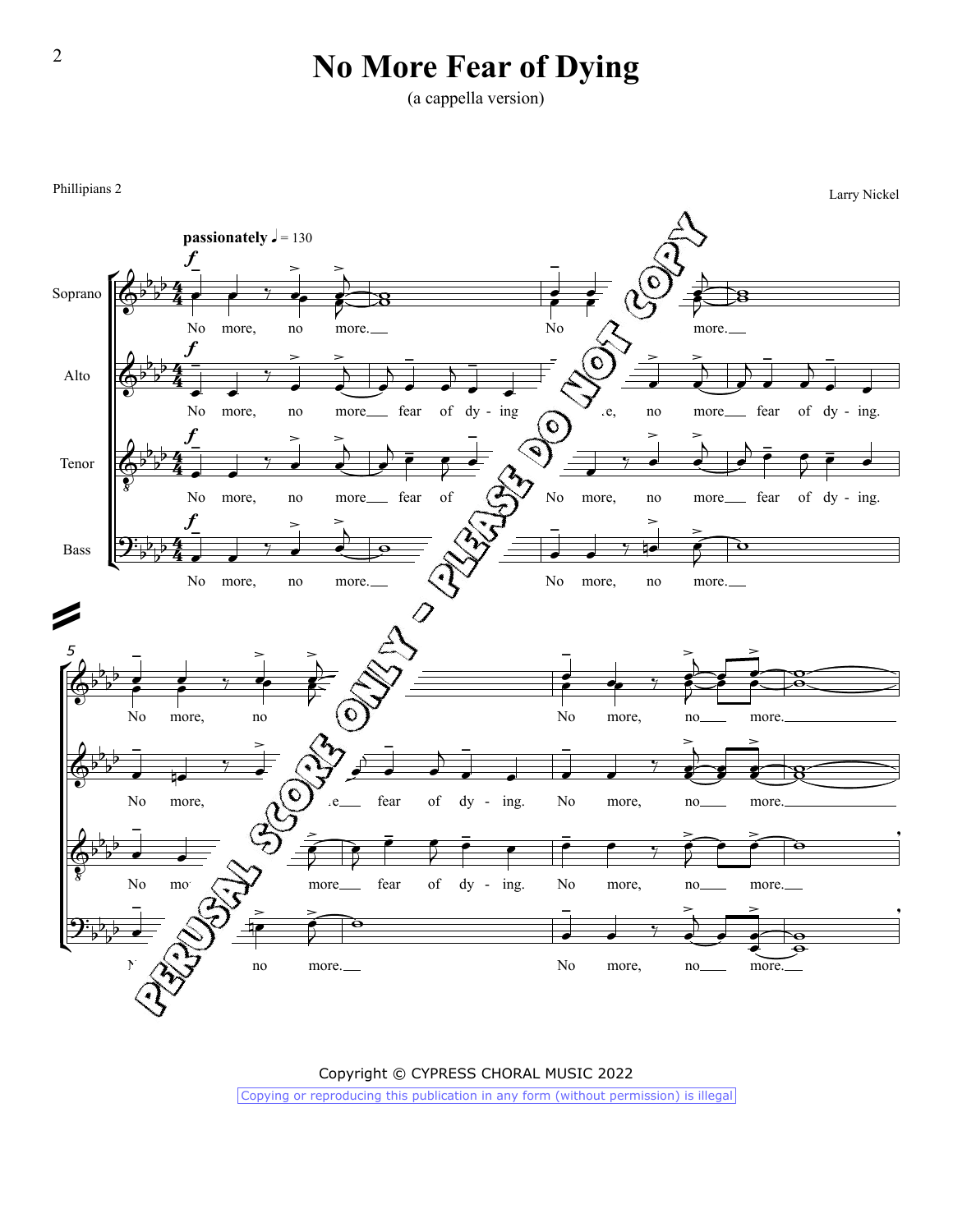## **No More Fear of Dying**

(a cappella version)



Copyright © CYPRESS CHORAL MUSIC 2022 Copying or reproducing this publication in any form (without permission) is illegal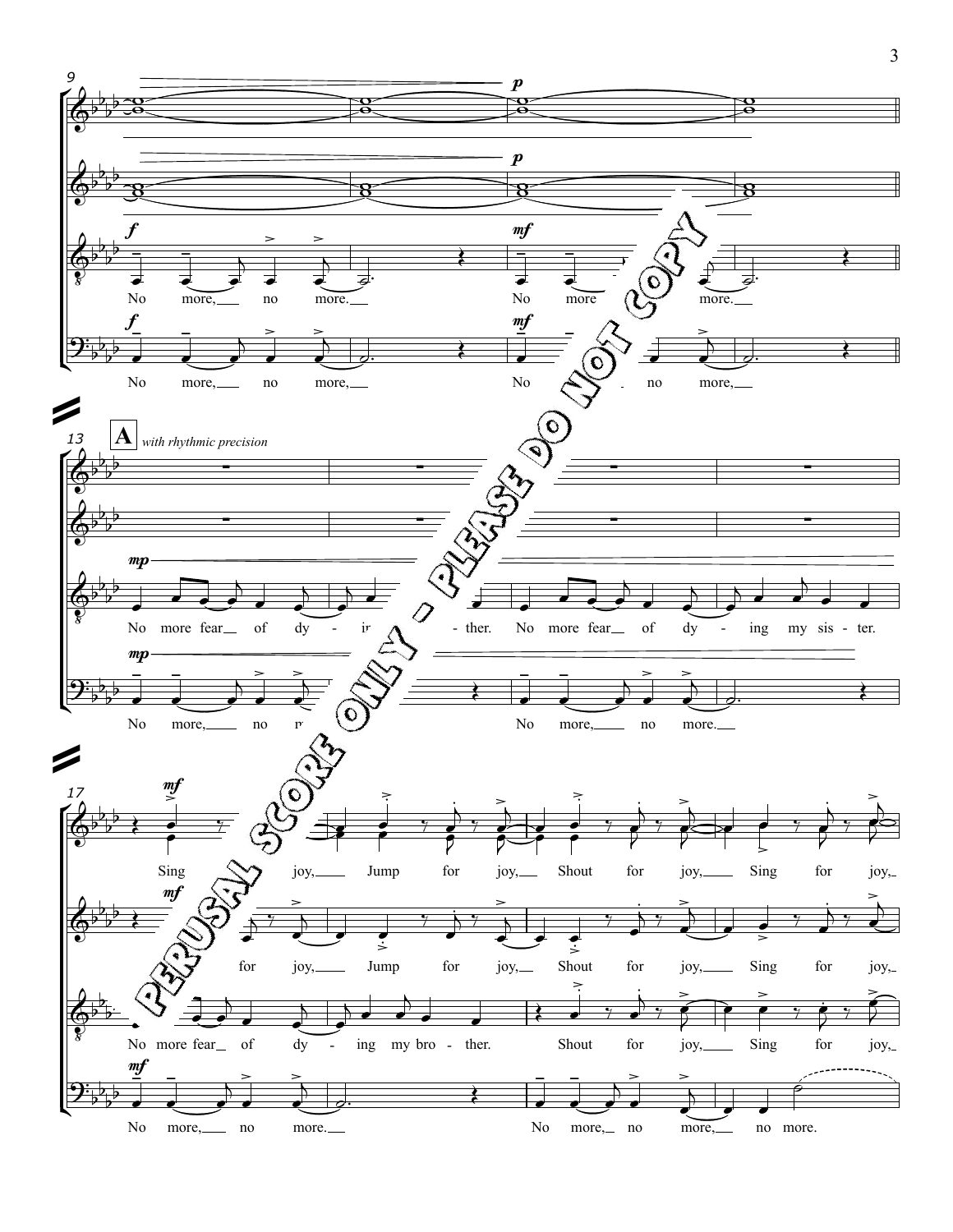

<sup>3</sup>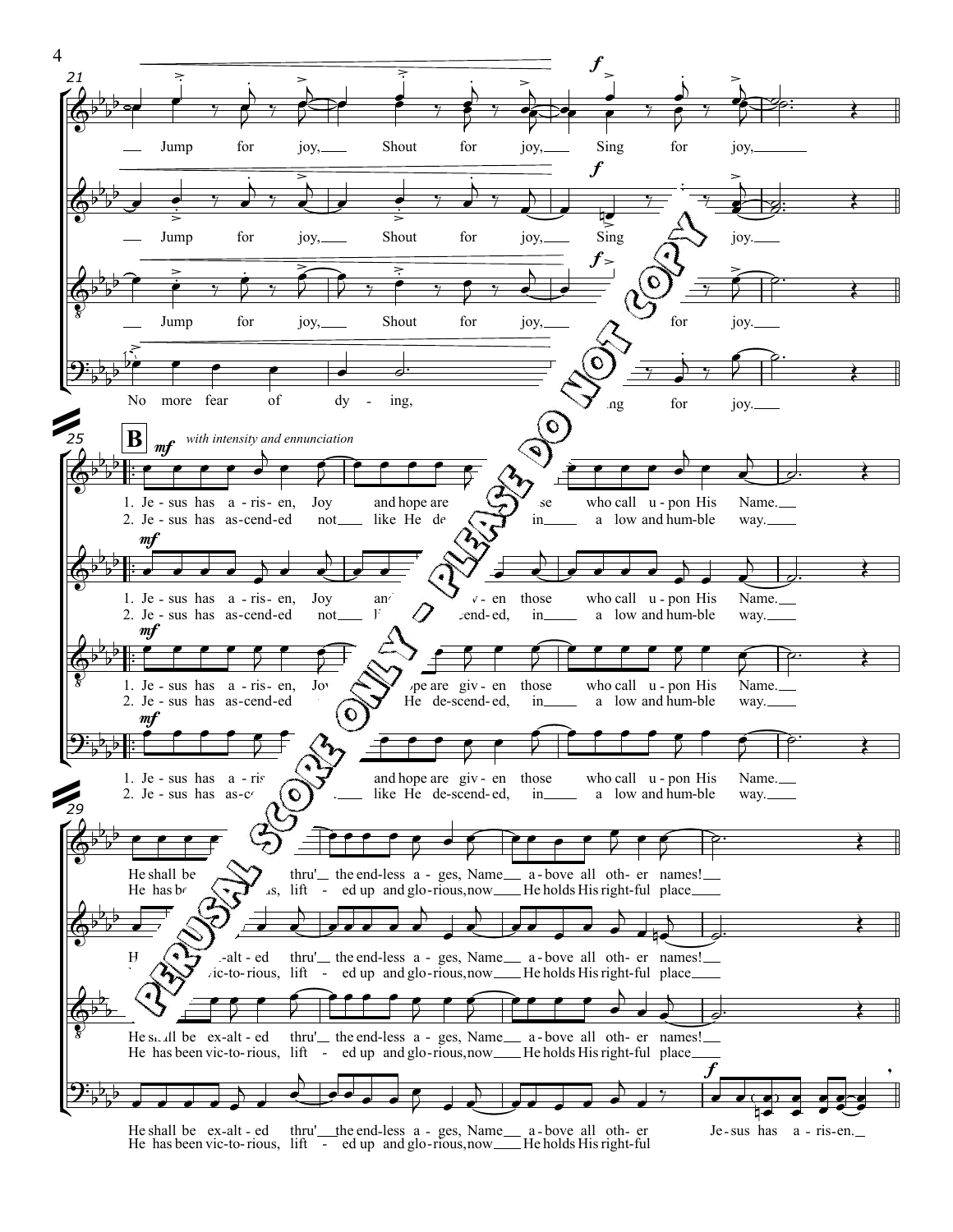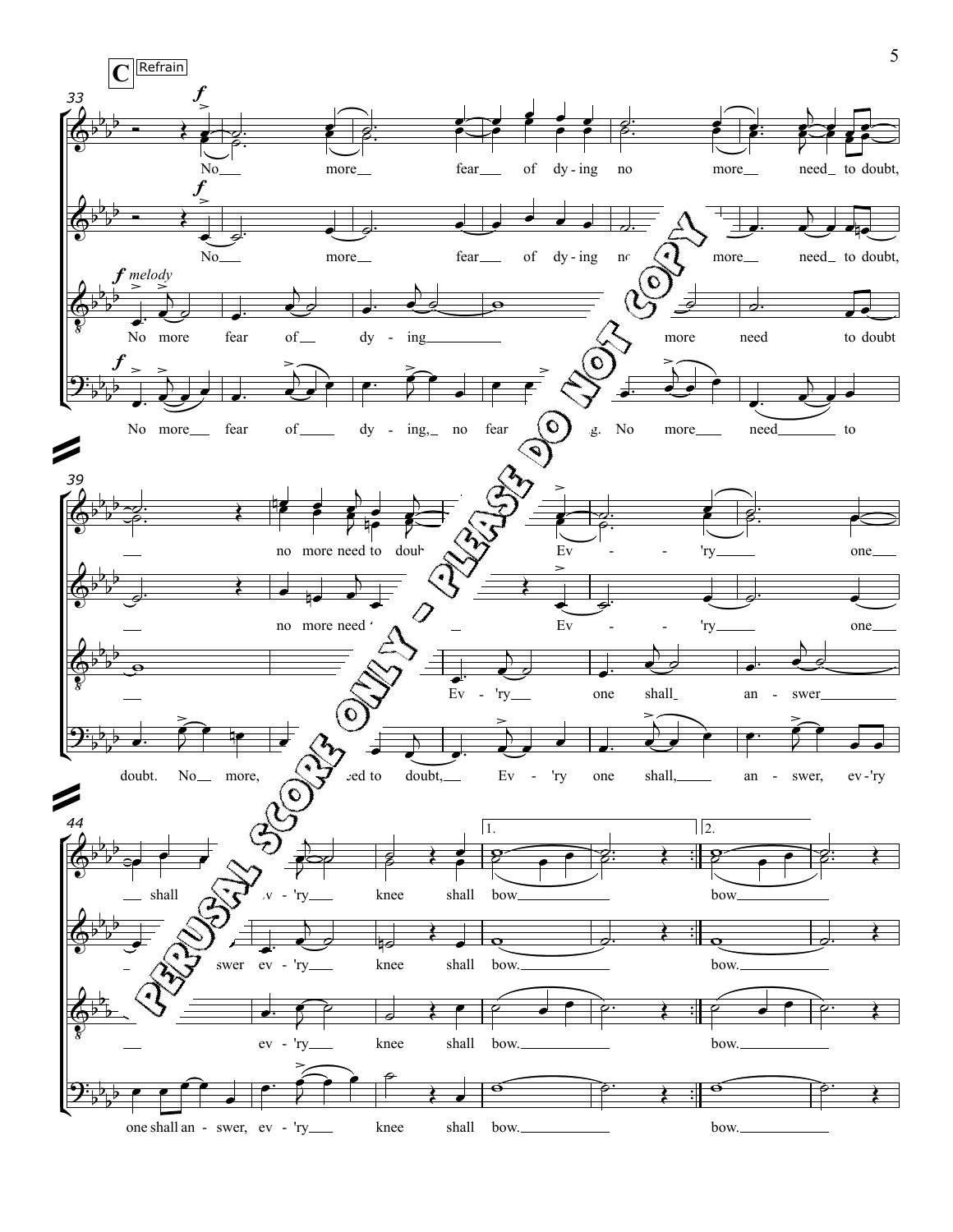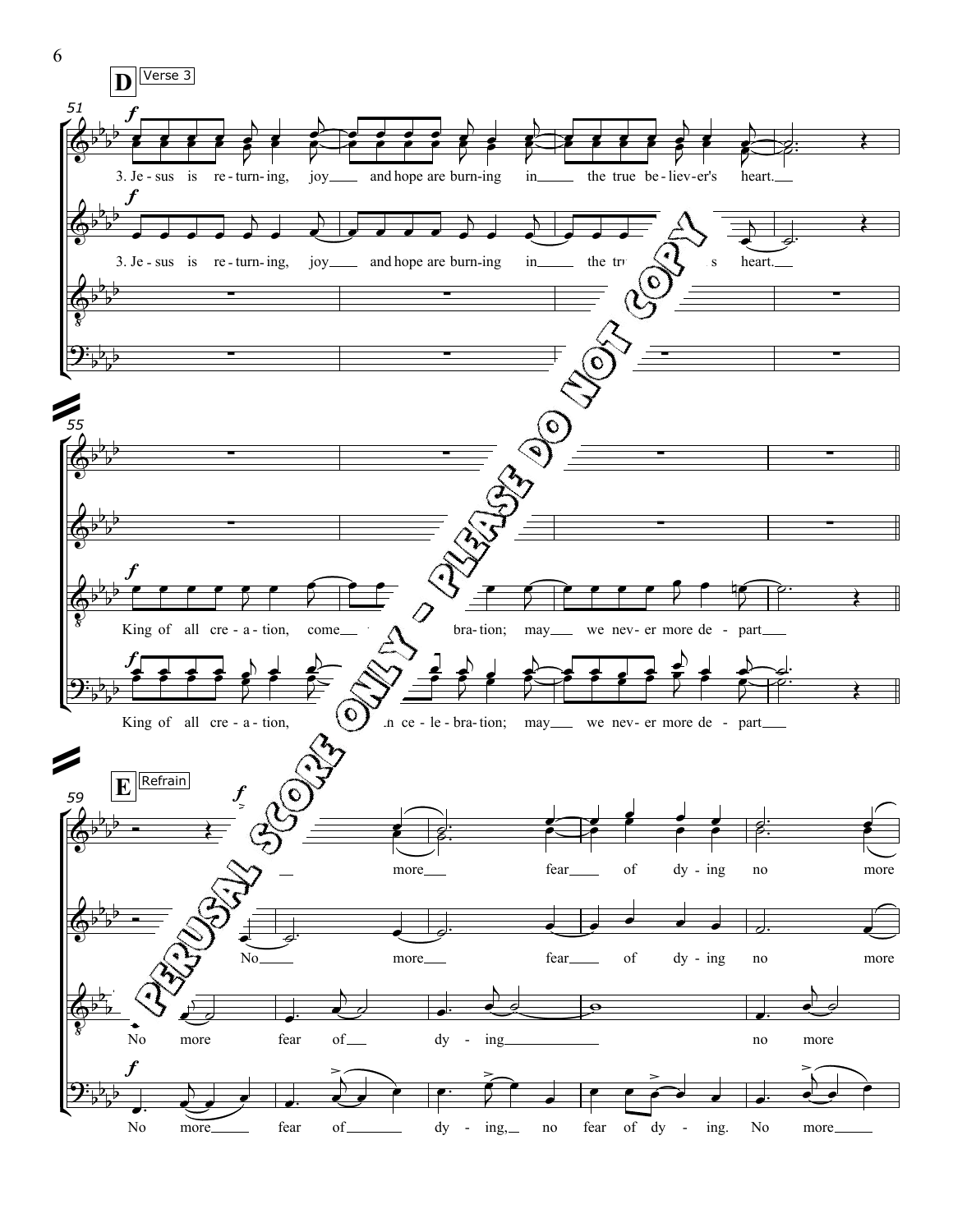